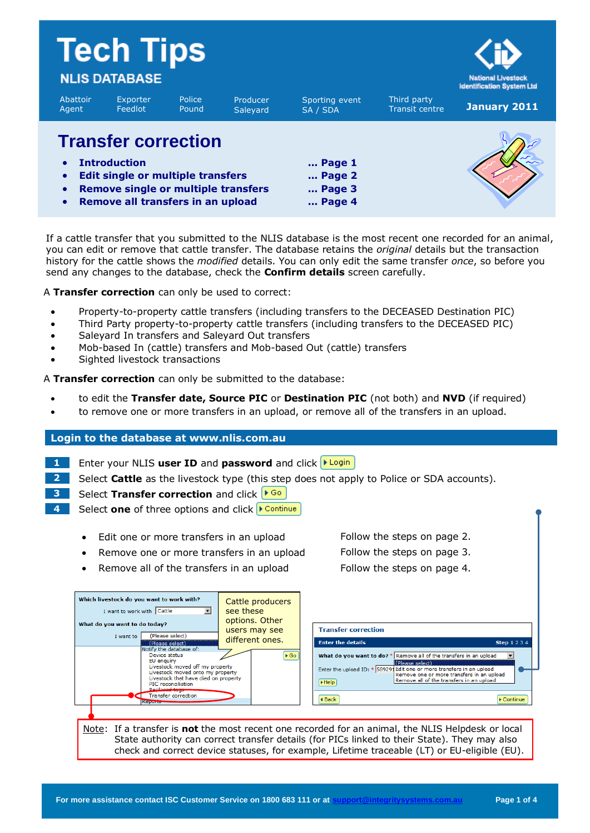|                                                  | <b>Tech Tips</b><br><b>NLIS DATABASE</b>                                                                                                                                         |                 |                      |                                                                          |                               | <b>National Livestock</b><br><b>Identification System Ltd</b> |  |
|--------------------------------------------------|----------------------------------------------------------------------------------------------------------------------------------------------------------------------------------|-----------------|----------------------|--------------------------------------------------------------------------|-------------------------------|---------------------------------------------------------------|--|
| Abattoir<br>Agent                                | Exporter<br>Feedlot                                                                                                                                                              | Police<br>Pound | Producer<br>Saleyard | Sporting event<br>SA / SDA                                               | Third party<br>Transit centre | January 2011                                                  |  |
| $\bullet$<br>$\bullet$<br>$\bullet$<br>$\bullet$ | <b>Transfer correction</b><br><b>Introduction</b><br><b>Edit single or multiple transfers</b><br><b>Remove single or multiple transfers</b><br>Remove all transfers in an upload |                 |                      | $\ldots$ Page 1<br>$\ldots$ Page 2<br>$\ldots$ Page 3<br>$\ldots$ Page 4 |                               |                                                               |  |

If a cattle transfer that you submitted to the NLIS database is the most recent one recorded for an animal, you can edit or remove that cattle transfer. The database retains the *original* details but the transaction history for the cattle shows the *modified* details. You can only edit the same transfer *once*, so before you send any changes to the database, check the **Confirm details** screen carefully.

A **Transfer correction** can only be used to correct:

- Property-to-property cattle transfers (including transfers to the DECEASED Destination PIC)
- Third Party property-to-property cattle transfers (including transfers to the DECEASED PIC)
- Salevard In transfers and Salevard Out transfers
- Mob-based In (cattle) transfers and Mob-based Out (cattle) transfers
- Sighted livestock transactions

A **Transfer correction** can only be submitted to the database:

- to edit the **Transfer date, Source PIC** or **Destination PIC** (not both) and **NVD** (if required)
- to remove one or more transfers in an upload, or remove all of the transfers in an upload.

#### **Login to the database at www.nlis.com.au**

- **1** Enter your NLIS user ID and password and click **>Login**
- **2** Select **Cattle** as the livestock type (this step does not apply to Police or SDA accounts).
- **3** Select **Transfer correction** and click **FGO**
- **4** Select one of three options and click **▶ Continue** 
	- Edit one or more transfers in an upload Follow the steps on page 2.
	- Remove one or more transfers in an upload Follow the steps on page 3.
	- Remove all of the transfers in an upload Follow the steps on page 4.

| Which livestock do you want to work with?<br>I want to work with Cattle<br>What do you want to do today?<br>(Please select)<br>I want to<br>(Please select)                                                                                                   | Cattle producers<br>see these<br>options. Other<br>users may see<br>different ones. | <b>Transfer correction</b><br><b>Enter the details</b>                                                                                                                              | <b>Step 1234</b>                                                                                                        |
|---------------------------------------------------------------------------------------------------------------------------------------------------------------------------------------------------------------------------------------------------------------|-------------------------------------------------------------------------------------|-------------------------------------------------------------------------------------------------------------------------------------------------------------------------------------|-------------------------------------------------------------------------------------------------------------------------|
| Notify the database of:<br>Device status<br>EU enquiry<br>Livestock moved off my property<br>Livestock moved onto my property<br>Livestock that have died on property<br>PIC reconciliation<br>Reniscod toge-<br><b>Transfer correction</b><br><b>Reports</b> | $\triangleright$ Go                                                                 | What do you want to do? $* $ Remove all of the transfers in an upload<br>(Please select)<br>Enter the upload ID: * 589291 Edit one or more transfers in an upload<br>Help<br>4 Back | Remove one or more transfers in an upload<br>Remove all of the transfers in an upload<br>$\blacktriangleright$ Continue |

#### Note: If a transfer is **not** the most recent one recorded for an animal, the NLIS Helpdesk or local State authority can correct transfer details (for PICs linked to their State). They may also check and correct device statuses, for example, Lifetime traceable (LT) or EU-eligible (EU).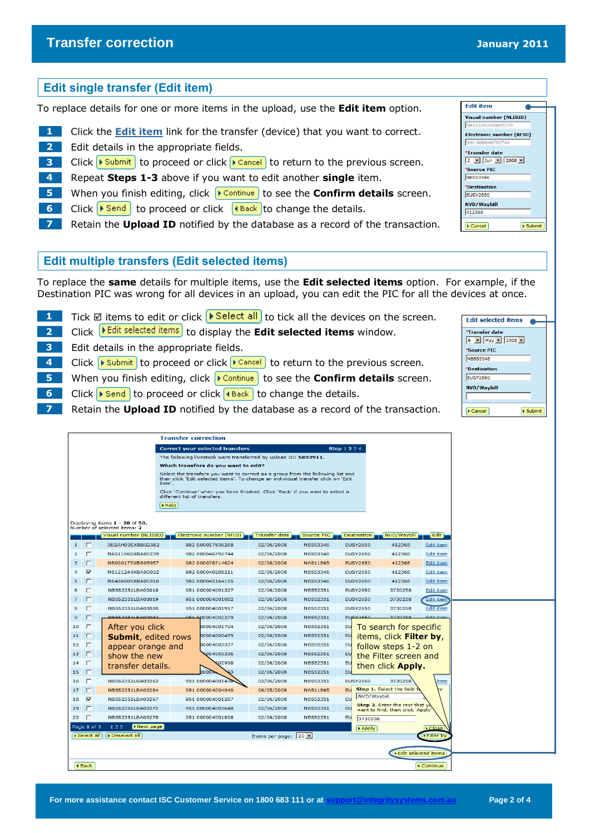## **Edit single transfer (Edit item)**

To replace details for one or more items in the upload, use the **Edit item** option.

- **1** Click the **Edit item** link for the transfer (device) that you want to correct.
- **2** Edit details in the appropriate fields.
- **3** Click Fubmit to proceed or click **Figure 2** to return to the previous screen.
- **4** Repeat **Steps 1-3** above if you want to edit another **single** item.
- **5** When you finish editing, click **Following** to see the **Confirm details** screen.
- **6** Click **E** Click **o** Click to proceed or click **f** and to change the details.
- **7** Retain the **Upload ID** notified by the database as a record of the transaction.

## **Edit multiple transfers (Edit selected items)**

To replace the **same** details for multiple items, use the **Edit selected items** option. For example, if the Destination PIC was wrong for all devices in an upload, you can edit the PIC for all the devices at once.

- **1** Tick **Ø** items to edit or click **I** Select all to tick all the devices on the screen.
- **2** Click **Edit selected items** to display the **Edit selected items** window.
- **3** Edit details in the appropriate fields.
- **4** Click **F** Submit to proceed or click **F** Cancel to return to the previous screen.
- **5** When you finish editing, click **D** Continue to see the **Confirm details** screen.
- **6** Click **F** Click **o** Click to proceed or click **4** Back to change the details.
- **7** Retain the **Upload ID** notified by the database as a record of the transaction.

|                |                |                                                               | <b>Transfer correction</b>                                                                                                                                                     |                                                                               |                               |            |                 |             |                                                                    |                                |  |
|----------------|----------------|---------------------------------------------------------------|--------------------------------------------------------------------------------------------------------------------------------------------------------------------------------|-------------------------------------------------------------------------------|-------------------------------|------------|-----------------|-------------|--------------------------------------------------------------------|--------------------------------|--|
|                |                |                                                               |                                                                                                                                                                                |                                                                               |                               |            |                 |             |                                                                    |                                |  |
|                |                |                                                               | <b>Correct your selected transfers</b><br><b>Step 1 2 3 4</b>                                                                                                                  |                                                                               |                               |            |                 |             |                                                                    |                                |  |
|                |                |                                                               | The following livestock were transferred by upload ID: 5892911.<br>Which transfers do you want to edit?                                                                        |                                                                               |                               |            |                 |             |                                                                    |                                |  |
|                |                |                                                               |                                                                                                                                                                                |                                                                               |                               |            |                 |             |                                                                    |                                |  |
|                |                |                                                               | Select the transfers you want to correct as a group from the following list and<br>then click 'Edit selected items'. To change an individual transfer click on 'Edit<br>item'. |                                                                               |                               |            |                 |             |                                                                    |                                |  |
|                |                |                                                               | different list of transfers.                                                                                                                                                   | Click 'Continue' when you have finished. Click 'Back' if you want to select a |                               |            |                 |             |                                                                    |                                |  |
|                |                |                                                               | $\blacktriangleright$ Help                                                                                                                                                     |                                                                               |                               |            |                 |             |                                                                    |                                |  |
|                |                | Displaying items 1 - 20 of 50.<br>Number of selected items: 2 |                                                                                                                                                                                |                                                                               |                               |            |                 |             |                                                                    |                                |  |
|                |                | Visual number (NLISID)                                        |                                                                                                                                                                                | Electronic number (RFID)                                                      | <b>Transfer date</b>          | Source PIC | Destination     |             | NVD/Waybill                                                        | Edit                           |  |
| $\mathbf{1}$   | E              | 3EGAH005XBB02582                                              |                                                                                                                                                                                | 982 000057936268                                                              | 02/06/2008                    | NB553346   | <b>EUSY2650</b> |             | 412368                                                             | Edit item                      |  |
| $\overline{2}$ | г              | NA511865XBA00239                                              |                                                                                                                                                                                | 982 000046792744                                                              | 02/06/2008                    | NB553346   | <b>EUSY2650</b> |             | 412368                                                             | <b>Edit item</b>               |  |
| 3              | $\Box$         | NB090177XBB05957                                              |                                                                                                                                                                                | 982 000078714624                                                              | 02/06/2008                    | NA511865   | <b>EUSY2650</b> |             | 412368                                                             | <b>Edit item</b>               |  |
| 4              | M              | NB121244XBA00032                                              |                                                                                                                                                                                | 982 000040208211                                                              | 02/06/2008                    | NB553346   | <b>EUSY2650</b> |             | 412368                                                             | Edit item                      |  |
| 5              | $\Box$         | NB486809XBA00310                                              |                                                                                                                                                                                | 982 000045164155                                                              | 02/06/2008                    | NB553346   | <b>EUSY2650</b> |             | 412368                                                             | Edit item                      |  |
| 6              | п              | NB552351LBA00018                                              |                                                                                                                                                                                | 951 000004001327                                                              | 02/06/2008                    | NB552351   | <b>EUSY2650</b> |             | 3730258                                                            | Edit item                      |  |
| $\overline{7}$ | $\Box$         | NB552351LBA00019                                              |                                                                                                                                                                                | 951 000004001082                                                              | 02/06/2008                    | NB552351   | <b>EUSY2650</b> |             | 3730258                                                            | <b>Edit item</b>               |  |
| 8              | г              | NB552351LBA00020                                              |                                                                                                                                                                                | 951 000004001917                                                              | 02/06/2008                    | NB552351   | <b>EUSY2650</b> |             | 3730258                                                            | Edit item                      |  |
| 9              | г              | <b>NR552351LBA00042</b>                                       |                                                                                                                                                                                | 951 000004002379                                                              | 02/06/2008                    | NB552351   | <b>EUSY2650</b> |             | 2720259                                                            | Edit iter                      |  |
| 10             | $\Box$         | After you click                                               |                                                                                                                                                                                | 00004001704                                                                   | 02/06/2008                    | NB552351   | EU              |             | To search for specific                                             |                                |  |
| 11             | $\Box$         | <b>Submit, edited rows</b>                                    |                                                                                                                                                                                | 00004000479                                                                   | 02/06/2008                    | NB552351   | EU              |             | items, click Filter by,                                            |                                |  |
| 12             | $\Box$         | appear orange and                                             |                                                                                                                                                                                | 00004003337                                                                   | 02/06/2008                    | NB552351   | EU              |             | follow steps 1-2 on                                                |                                |  |
| 13             | $\Box$         | show the new                                                  |                                                                                                                                                                                | 004003336                                                                     | 02/06/2008                    | NB552351   | EU              |             | the Filter screen and                                              |                                |  |
| 14             | п              | transfer details.                                             |                                                                                                                                                                                | 02998                                                                         | 02/06/2008                    | NB552351   | EU              |             | then click <b>Apply.</b>                                           |                                |  |
| 15             | $\Box$         |                                                               |                                                                                                                                                                                | 20002                                                                         | 02/06/2008                    | NB552351   | EU              |             |                                                                    |                                |  |
| 16             | п              | NB552351LBA00263                                              |                                                                                                                                                                                | 951 000004001436                                                              | 02/06/2008                    | NB552351   | <b>EUSY2650</b> |             | 3730258                                                            | <u>item</u>                    |  |
| 17             | $\Box$         | NB552351LBA00264                                              |                                                                                                                                                                                | 951 000004004040                                                              | 06/05/2008                    | NA511865   | EU              |             | Step 1. Select the field t                                         |                                |  |
| 18             | $\overline{r}$ | NB552351LBA00267                                              |                                                                                                                                                                                | 951 000004001287                                                              | 02/06/2008                    | NB552351   | EU              | NVD/Waybill |                                                                    |                                |  |
| 19             | $\Box$         | NB552351LBA00272                                              |                                                                                                                                                                                | 951 000004003648                                                              | 02/06/2008                    | NB552351   | EU              |             | Step 2. Enter the text that yo<br>want to find, then click 'Apply' |                                |  |
| 20             | г              | NB552351LBA00278                                              |                                                                                                                                                                                | 951 000004001898                                                              | 02/06/2008                    | NB552351   | EU              | 3730258     |                                                                    |                                |  |
|                | Page 1 of 3    | Next page<br>123                                              |                                                                                                                                                                                |                                                                               |                               |            |                 | Apply       |                                                                    | $E$ Close                      |  |
|                | Select all     | Deselect all                                                  |                                                                                                                                                                                |                                                                               | Items per page: $20$ $\times$ |            |                 |             |                                                                    | I Filter by                    |  |
|                |                |                                                               |                                                                                                                                                                                |                                                                               |                               |            |                 |             | Edit selected items                                                |                                |  |
|                |                |                                                               |                                                                                                                                                                                |                                                                               |                               |            |                 |             |                                                                    |                                |  |
|                | 4 Back         |                                                               |                                                                                                                                                                                |                                                                               |                               |            |                 |             |                                                                    | $\blacktriangleright$ Continue |  |
|                |                |                                                               |                                                                                                                                                                                |                                                                               |                               |            |                 |             |                                                                    |                                |  |



Edit selected items

 $>$  Submit

\*Transfer date 6 - May - 2008 -\*Source PIC NB553346 \*Destination **EUSY2560** NVD/Waybill

 $\sqrt{\frac{1}{2}$  Cancel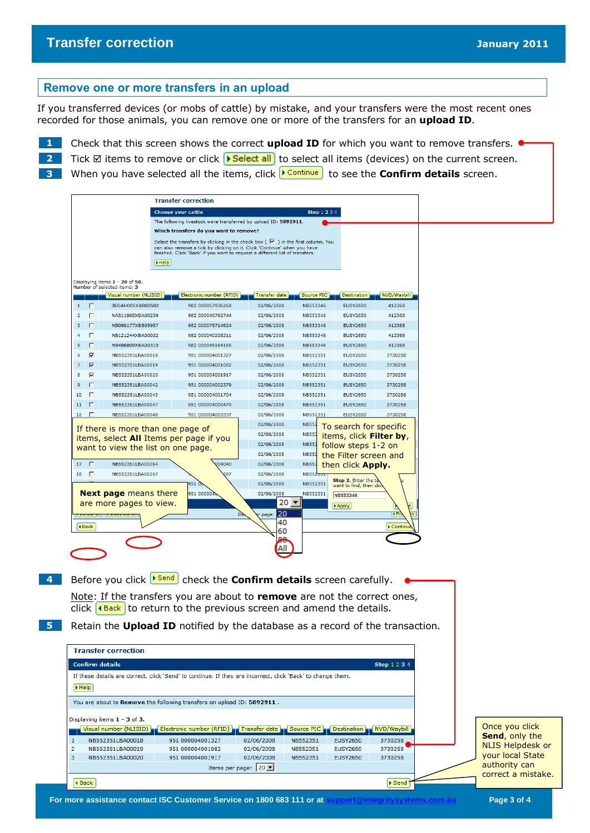# **Transfer correction** *January 2011*

 $\overline{2}$ 

### **Remove one or more transfers in an upload**

If you transferred devices (or mobs of cattle) by mistake, and your transfers were the most recent ones recorded for those animals, you can remove one or more of the transfers for an **upload ID**.

1 Check that this screen shows the correct **upload ID** for which you want to remove transfers.  $\bullet$ 

**2** Tick **Ø** items to remove or click **▶ Select all** to select all items (devices) on the current screen.

**3** When you have selected all the items, click **Follo Follo See the Confirm details** screen.

|                 |                         |                                                                                                                                        | <b>Transfer correction</b>                                                                                                                                                                                                                        |                                                                    |                                                                             |                                                                                                                               |                   |
|-----------------|-------------------------|----------------------------------------------------------------------------------------------------------------------------------------|---------------------------------------------------------------------------------------------------------------------------------------------------------------------------------------------------------------------------------------------------|--------------------------------------------------------------------|-----------------------------------------------------------------------------|-------------------------------------------------------------------------------------------------------------------------------|-------------------|
|                 |                         |                                                                                                                                        | <b>Choose your cattle</b>                                                                                                                                                                                                                         |                                                                    | <b>Step 1 2 3 4</b>                                                         |                                                                                                                               |                   |
|                 |                         |                                                                                                                                        | The following livestock were transferred by upload ID: 5892911.                                                                                                                                                                                   |                                                                    |                                                                             |                                                                                                                               |                   |
|                 |                         |                                                                                                                                        | Which transfers do you want to remove?                                                                                                                                                                                                            |                                                                    |                                                                             |                                                                                                                               |                   |
|                 |                         |                                                                                                                                        | Select the transfers by clicking in the check box ( $\vee$ ) in the first column. You<br>can also remove a tick by clicking on it. Click 'Continue' when you have<br>finished. Click 'Back' if you want to request a different list of transfers. |                                                                    |                                                                             |                                                                                                                               |                   |
|                 |                         | Help                                                                                                                                   |                                                                                                                                                                                                                                                   |                                                                    |                                                                             |                                                                                                                               |                   |
|                 |                         |                                                                                                                                        |                                                                                                                                                                                                                                                   |                                                                    |                                                                             |                                                                                                                               |                   |
|                 |                         | Displaying items 1 - 20 of 50.<br>Number of selected items: 3                                                                          |                                                                                                                                                                                                                                                   |                                                                    |                                                                             |                                                                                                                               |                   |
|                 |                         | Visual number (NLISID)                                                                                                                 | Electronic number (RFID)                                                                                                                                                                                                                          | <b>Transfer date</b>                                               | Source PIC                                                                  | <b>Destination</b>                                                                                                            | NVD/Waybill       |
| $\mathbf{1}$    | IП                      | 3EGAH005XBB02582                                                                                                                       | 982 000057936268                                                                                                                                                                                                                                  | 02/06/2008                                                         | NB553346                                                                    | <b>EUSY2650</b>                                                                                                               | 412368            |
| $\overline{2}$  | $\Box$                  | NA511865XBA00239                                                                                                                       | 982 000046792744                                                                                                                                                                                                                                  | 02/06/2008                                                         | NB553346                                                                    | <b>EUSY2650</b>                                                                                                               | 412368            |
| 3               | Г                       | NB090177XBB05957                                                                                                                       | 982 000078714624                                                                                                                                                                                                                                  | 02/06/2008                                                         | NB553346                                                                    | <b>EUSY2650</b>                                                                                                               | 412368            |
| 4               | п                       | NB121244XBA00032                                                                                                                       | 982 000040208211                                                                                                                                                                                                                                  | 02/06/2008                                                         | NB553346                                                                    | <b>EUSY2650</b>                                                                                                               | 412368            |
| 5<br>6          | л<br>⊽                  | NB486809XBA00310<br>NB552351LBA00018                                                                                                   | 982 000045164155<br>951 000004001327                                                                                                                                                                                                              | 02/06/2008<br>02/06/2008                                           | NB553346<br>NB552351                                                        | <b>EUSY2650</b><br><b>EUSY2650</b>                                                                                            | 412368<br>3730258 |
| 7               | $\overline{\mathbf{v}}$ | NB552351LBA00019                                                                                                                       | 951 000004001082                                                                                                                                                                                                                                  | 02/06/2008                                                         | NB552351                                                                    | <b>EUSY2650</b>                                                                                                               | 3730258           |
| 8               | $\overline{\mathbf{v}}$ | NB552351LBA00020                                                                                                                       | 951 000004001917                                                                                                                                                                                                                                  | 02/06/2008                                                         | NB552351                                                                    | <b>EUSY2650</b>                                                                                                               | 3730258           |
| 9               | Г                       | NB552351LBA00042                                                                                                                       | 951 000004002379                                                                                                                                                                                                                                  | 02/06/2008                                                         | NB552351                                                                    | <b>EUSY2650</b>                                                                                                               | 3730258           |
| 10              | FП                      | NB552351LBA00043                                                                                                                       | 951 000004001704                                                                                                                                                                                                                                  | 02/06/2008                                                         | NB552351                                                                    | <b>EUSY2650</b>                                                                                                               | 3730258           |
| 11              | $\Box$                  | NB552351LBA00047                                                                                                                       | 951 000004000479                                                                                                                                                                                                                                  | 02/06/2008                                                         | NB552351                                                                    | <b>EUSY2650</b>                                                                                                               | 3730258           |
| 12 <sub>1</sub> | п                       | NB552351LBA00048                                                                                                                       | 951 000004003337                                                                                                                                                                                                                                  | 02/06/2008                                                         | NB552351                                                                    | <b>EUSY2650</b>                                                                                                               | 3730258           |
| $17$ $\Box$     |                         | If there is more than one page of<br>items, select All Items per page if you<br>want to view the list on one page.<br>NB552351LBA00264 | 04040                                                                                                                                                                                                                                             | 02/06/2008<br>02/06/2008<br>02/06/2008<br>02/06/2008<br>02/06/2008 | <b>NB552</b><br><b>NB552</b><br><b>NB552</b><br><b>NB55</b><br><b>NB552</b> | To search for specific<br>items, click Filter by,<br>follow steps 1-2 on<br>the Filter screen and<br>then click <b>Apply.</b> |                   |
| $18$ $\Box$     |                         | NB552351LBA00267                                                                                                                       | 287                                                                                                                                                                                                                                               | 02/06/2008                                                         | <b>NB552</b>                                                                |                                                                                                                               |                   |
|                 |                         | <b>Next page means there</b><br>are more pages to view.                                                                                | 951 Oo<br>951 000004t                                                                                                                                                                                                                             | 02/06/2008<br>02/06/2008<br>$20 -$<br>120<br>page:                 | NB552351<br>NB552351                                                        | Step 2. Enter the te<br>want to find, then click<br>NB553346<br>Apply                                                         | <b>FFI</b>        |
|                 | ◀ Back                  |                                                                                                                                        |                                                                                                                                                                                                                                                   | 40                                                                 |                                                                             |                                                                                                                               | Continue          |
|                 |                         |                                                                                                                                        |                                                                                                                                                                                                                                                   | 60                                                                 |                                                                             |                                                                                                                               |                   |
|                 |                         |                                                                                                                                        |                                                                                                                                                                                                                                                   |                                                                    |                                                                             |                                                                                                                               |                   |
|                 |                         |                                                                                                                                        | Before you click <b>F</b> Send check the <b>Confirm details</b> screen carefully.                                                                                                                                                                 |                                                                    |                                                                             |                                                                                                                               |                   |
|                 |                         |                                                                                                                                        | Note: If the transfers you are about to remove are not the correct ones,<br>click $\left  \leftarrow \right $ to return to the previous screen and amend the details.                                                                             |                                                                    |                                                                             |                                                                                                                               |                   |
|                 |                         |                                                                                                                                        | Retain the <b>Upload ID</b> notified by the database as a record of the transaction.                                                                                                                                                              |                                                                    |                                                                             |                                                                                                                               |                   |
|                 |                         | <b>Transfer correction</b>                                                                                                             |                                                                                                                                                                                                                                                   |                                                                    |                                                                             |                                                                                                                               |                   |



authority can correct a mistake.